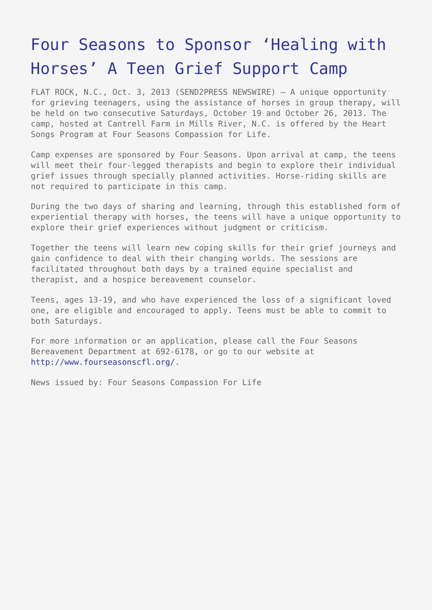## [Four Seasons to Sponsor 'Healing with](https://www.send2press.com/wire/four-seasons-to-sponsor-healing-with-horses-a-teen-grief-support-camp_2013-10-1003-001/) [Horses' A Teen Grief Support Camp](https://www.send2press.com/wire/four-seasons-to-sponsor-healing-with-horses-a-teen-grief-support-camp_2013-10-1003-001/)

FLAT ROCK, N.C., Oct. 3, 2013 (SEND2PRESS NEWSWIRE) — A unique opportunity for grieving teenagers, using the assistance of horses in group therapy, will be held on two consecutive Saturdays, October 19 and October 26, 2013. The camp, hosted at Cantrell Farm in Mills River, N.C. is offered by the Heart Songs Program at Four Seasons Compassion for Life.

Camp expenses are sponsored by Four Seasons. Upon arrival at camp, the teens will meet their four-legged therapists and begin to explore their individual grief issues through specially planned activities. Horse-riding skills are not required to participate in this camp.

During the two days of sharing and learning, through this established form of experiential therapy with horses, the teens will have a unique opportunity to explore their grief experiences without judgment or criticism.

Together the teens will learn new coping skills for their grief journeys and gain confidence to deal with their changing worlds. The sessions are facilitated throughout both days by a trained equine specialist and therapist, and a hospice bereavement counselor.

Teens, ages 13-19, and who have experienced the loss of a significant loved one, are eligible and encouraged to apply. Teens must be able to commit to both Saturdays.

For more information or an application, please call the Four Seasons Bereavement Department at 692-6178, or go to our website at <http://www.fourseasonscfl.org/>.

News issued by: Four Seasons Compassion For Life